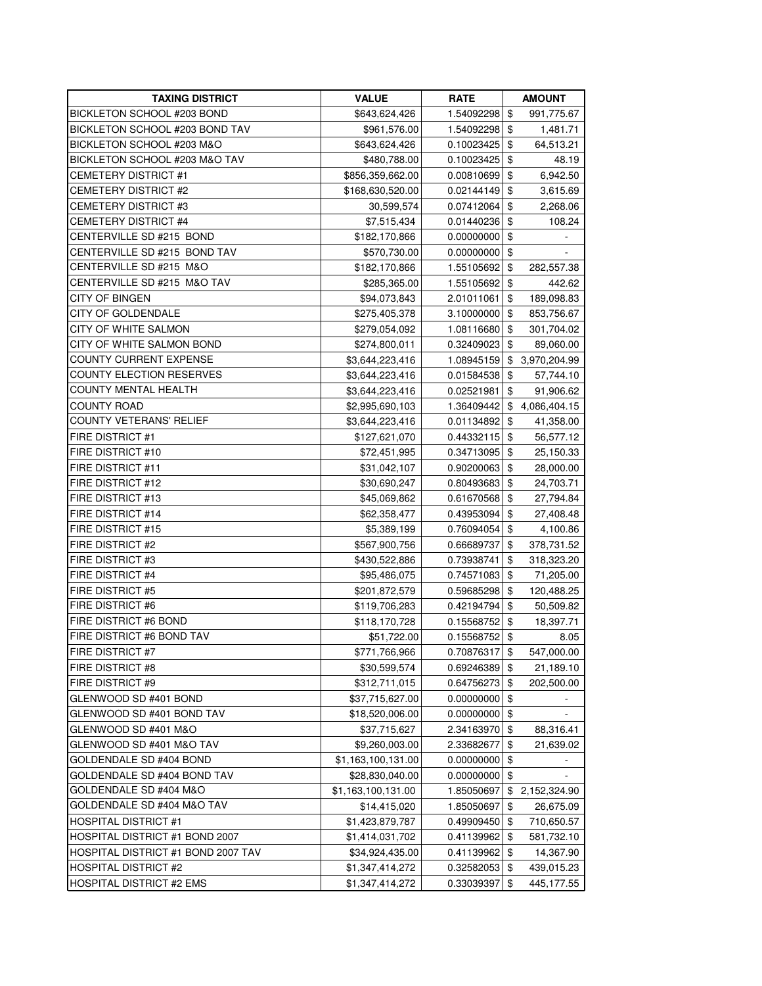| TAXING DISTRICT                    | <b>VALUE</b>       | <b>RATE</b> | AMOUNT                         |
|------------------------------------|--------------------|-------------|--------------------------------|
| BICKLETON SCHOOL #203 BOND         | \$643,624,426      | 1.54092298  | \$<br>991,775.67               |
| BICKLETON SCHOOL #203 BOND TAV     | \$961,576.00       | 1.54092298  | \$<br>1,481.71                 |
| BICKLETON SCHOOL #203 M&O          | \$643,624,426      | 0.10023425  | \$<br>64,513.21                |
| BICKLETON SCHOOL #203 M&O TAV      | \$480,788.00       | 0.10023425  | \$<br>48.19                    |
| <b>CEMETERY DISTRICT #1</b>        | \$856,359,662.00   | 0.00810699  | \$<br>6,942.50                 |
| <b>CEMETERY DISTRICT #2</b>        | \$168,630,520.00   | 0.02144149  | \$<br>3,615.69                 |
| <b>CEMETERY DISTRICT #3</b>        | 30,599,574         | 0.07412064  | \$<br>2,268.06                 |
| <b>CEMETERY DISTRICT #4</b>        | \$7,515,434        | 0.01440236  | \$<br>108.24                   |
| CENTERVILLE SD #215 BOND           | \$182,170,866      | 0.00000000  | \$<br>$\overline{\phantom{a}}$ |
| CENTERVILLE SD #215 BOND TAV       | \$570,730.00       | 0.00000000  | \$                             |
| CENTERVILLE SD #215 M&O            | \$182,170,866      | 1.55105692  | \$<br>282,557.38               |
| CENTERVILLE SD #215 M&O TAV        | \$285,365.00       | 1.55105692  | \$<br>442.62                   |
| CITY OF BINGEN                     | \$94,073,843       | 2.01011061  | \$<br>189,098.83               |
| <b>CITY OF GOLDENDALE</b>          | \$275,405,378      | 3.10000000  | \$<br>853,756.67               |
| CITY OF WHITE SALMON               | \$279,054,092      | 1.08116680  | \$<br>301,704.02               |
| CITY OF WHITE SALMON BOND          | \$274,800,011      | 0.32409023  | \$<br>89,060.00                |
| <b>COUNTY CURRENT EXPENSE</b>      | \$3,644,223,416    | 1.08945159  | \$<br>3,970,204.99             |
| <b>COUNTY ELECTION RESERVES</b>    | \$3,644,223,416    | 0.01584538  | \$<br>57,744.10                |
| <b>COUNTY MENTAL HEALTH</b>        | \$3,644,223,416    | 0.02521981  | \$<br>91,906.62                |
| <b>COUNTY ROAD</b>                 | \$2,995,690,103    | 1.36409442  | \$<br>4,086,404.15             |
| COUNTY VETERANS' RELIEF            | \$3,644,223,416    | 0.01134892  | \$<br>41,358.00                |
| <b>FIRE DISTRICT #1</b>            | \$127,621,070      | 0.44332115  | \$<br>56,577.12                |
| <b>FIRE DISTRICT #10</b>           | \$72,451,995       | 0.34713095  | \$<br>25,150.33                |
| <b>FIRE DISTRICT #11</b>           | \$31,042,107       | 0.90200063  | \$<br>28,000.00                |
| <b>FIRE DISTRICT #12</b>           | \$30,690,247       | 0.80493683  | \$<br>24,703.71                |
| <b>FIRE DISTRICT #13</b>           | \$45,069,862       | 0.61670568  | \$<br>27,794.84                |
| <b>FIRE DISTRICT #14</b>           | \$62,358,477       | 0.43953094  | \$<br>27,408.48                |
| <b>FIRE DISTRICT #15</b>           | \$5,389,199        | 0.76094054  | \$<br>4,100.86                 |
| <b>FIRE DISTRICT #2</b>            | \$567,900,756      | 0.66689737  | \$<br>378,731.52               |
| <b>FIRE DISTRICT #3</b>            | \$430,522,886      | 0.73938741  | \$<br>318,323.20               |
| FIRE DISTRICT #4                   | \$95,486,075       | 0.74571083  | \$<br>71,205.00                |
| <b>FIRE DISTRICT #5</b>            | \$201,872,579      | 0.59685298  | \$<br>120,488.25               |
| FIRE DISTRICT #6                   | \$119,706,283      | 0.42194794  | \$<br>50,509.82                |
| FIRE DISTRICT #6 BOND              | \$118,170,728      | 0.15568752  | \$<br>18,397.71                |
| FIRE DISTRICT #6 BOND TAV          | \$51,722.00        | 0.15568752  | \$<br>8.05                     |
| <b>FIRE DISTRICT #7</b>            | \$771,766,966      | 0.70876317  | \$<br>547,000.00               |
| <b>FIRE DISTRICT #8</b>            | \$30,599,574       | 0.69246389  | \$<br>21,189.10                |
| FIRE DISTRICT #9                   | \$312,711,015      | 0.64756273  | \$<br>202,500.00               |
| GLENWOOD SD #401 BOND              | \$37,715,627.00    | 0.00000000  | \$                             |
| GLENWOOD SD #401 BOND TAV          | \$18,520,006.00    | 0.00000000  | \$                             |
| GLENWOOD SD #401 M&O               | \$37,715,627       | 2.34163970  | \$<br>88,316.41                |
| GLENWOOD SD #401 M&O TAV           | \$9,260,003.00     | 2.33682677  | \$<br>21,639.02                |
| GOLDENDALE SD #404 BOND            | \$1,163,100,131.00 | 0.00000000  | \$                             |
| GOLDENDALE SD #404 BOND TAV        | \$28,830,040.00    | 0.00000000  | \$                             |
| GOLDENDALE SD #404 M&O             | \$1,163,100,131.00 | 1.85050697  | \$<br>2,152,324.90             |
| GOLDENDALE SD #404 M&O TAV         | \$14,415,020       | 1.85050697  | \$<br>26,675.09                |
| <b>HOSPITAL DISTRICT #1</b>        | \$1,423,879,787    | 0.49909450  | \$<br>710,650.57               |
| HOSPITAL DISTRICT #1 BOND 2007     | \$1,414,031,702    | 0.41139962  | \$<br>581,732.10               |
| HOSPITAL DISTRICT #1 BOND 2007 TAV | \$34,924,435.00    | 0.41139962  | \$<br>14,367.90                |
| <b>HOSPITAL DISTRICT #2</b>        | \$1,347,414,272    | 0.32582053  | \$<br>439,015.23               |
| <b>HOSPITAL DISTRICT #2 EMS</b>    | \$1,347,414,272    | 0.33039397  | \$<br>445,177.55               |